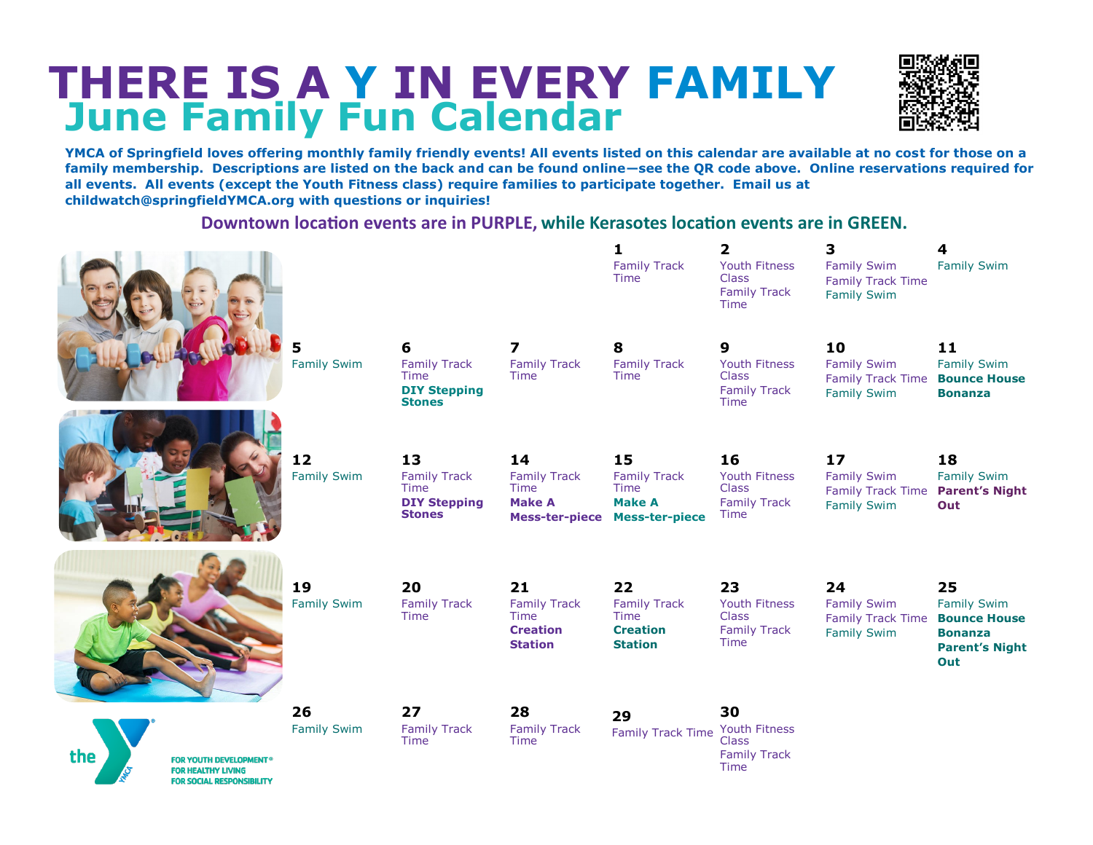# **THERE IS A Y IN EVERY FAMILY June Family Fun Calendar**



**YMCA of Springfield loves offering monthly family friendly events! All events listed on this calendar are available at no cost for those on a family membership. Descriptions are listed on the back and can be found online—see the QR code above. Online reservations required for all events. All events (except the Youth Fitness class) require families to participate together. Email us at childwatch@springfieldYMCA.org with questions or inquiries!** 

**Downtown location events are in PURPLE, while Kerasotes location events are in GREEN.** 

|                                                                                                                  |                          |                                                                           |                                                                        | 1<br><b>Family Track</b><br><b>Time</b>                                                           | $\overline{\mathbf{2}}$<br>Youth Fitness<br><b>Class</b><br><b>Family Track</b><br>Time | 3<br><b>Family Swim</b><br><b>Family Track Time</b><br><b>Family Swim</b>  | 4<br><b>Family Swim</b>                                                                           |
|------------------------------------------------------------------------------------------------------------------|--------------------------|---------------------------------------------------------------------------|------------------------------------------------------------------------|---------------------------------------------------------------------------------------------------|-----------------------------------------------------------------------------------------|----------------------------------------------------------------------------|---------------------------------------------------------------------------------------------------|
|                                                                                                                  | <b>Family Swim</b>       | 6<br><b>Family Track</b><br>Time<br><b>DIY Stepping</b><br><b>Stones</b>  | 7<br><b>Family Track</b><br>Time                                       | 8<br><b>Family Track</b><br>Time                                                                  | 9<br><b>Youth Fitness</b><br><b>Class</b><br><b>Family Track</b><br>Time                | 10<br><b>Family Swim</b><br><b>Family Track Time</b><br><b>Family Swim</b> | 11<br><b>Family Swim</b><br><b>Bounce House</b><br><b>Bonanza</b>                                 |
|                                                                                                                  | 12<br><b>Family Swim</b> | 13<br><b>Family Track</b><br>Time<br><b>DIY Stepping</b><br><b>Stones</b> | 14<br><b>Family Track</b><br>Time<br><b>Make A</b>                     | 15<br><b>Family Track</b><br><b>Time</b><br><b>Make A</b><br><b>Mess-ter-piece Mess-ter-piece</b> | 16<br>Youth Fitness<br><b>Class</b><br><b>Family Track</b><br>Time                      | 17<br><b>Family Swim</b><br><b>Family Track Time</b><br><b>Family Swim</b> | 18<br><b>Family Swim</b><br><b>Parent's Night</b><br>Out                                          |
|                                                                                                                  | 19<br><b>Family Swim</b> | 20<br><b>Family Track</b><br>Time                                         | 21<br><b>Family Track</b><br>Time<br><b>Creation</b><br><b>Station</b> | 22<br><b>Family Track</b><br><b>Time</b><br><b>Creation</b><br><b>Station</b>                     | 23<br>Youth Fitness<br><b>Class</b><br><b>Family Track</b><br>Time                      | 24<br><b>Family Swim</b><br><b>Family Track Time</b><br><b>Family Swim</b> | 25<br><b>Family Swim</b><br><b>Bounce House</b><br><b>Bonanza</b><br><b>Parent's Night</b><br>Out |
| the<br><b>FOR YOUTH DEVELOPMENT<sup>®</sup></b><br><b>FOR HEALTHY LIVING</b><br><b>FOR SOCIAL RESPONSIBILITY</b> | 26<br><b>Family Swim</b> | 27<br><b>Family Track</b><br>Time                                         | 28<br><b>Family Track</b><br>Time                                      | 29<br><b>Family Track Time</b>                                                                    | 30<br>Youth Fitness<br>Class<br><b>Family Track</b><br>Time                             |                                                                            |                                                                                                   |